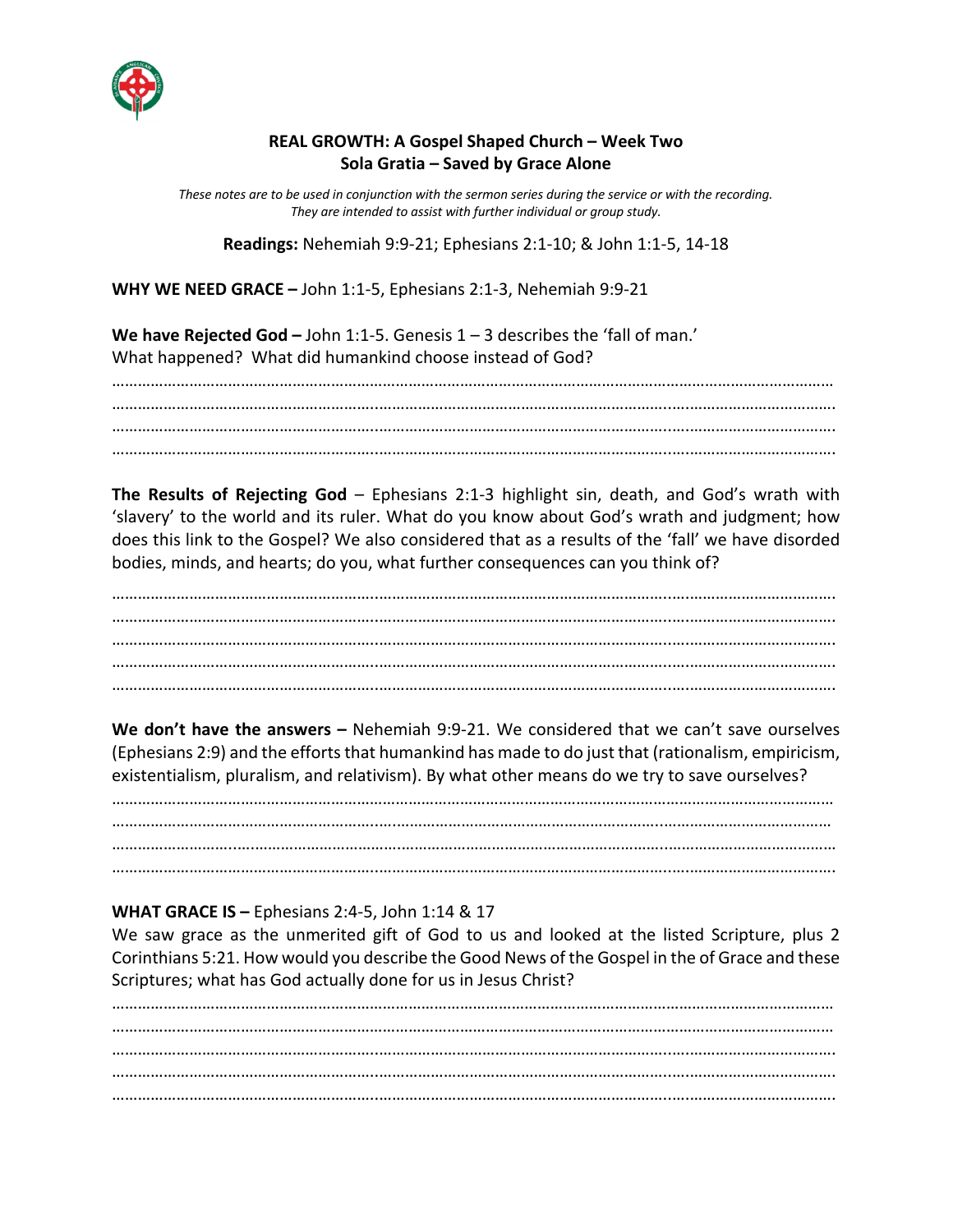

## **REAL GROWTH: A Gospel Shaped Church – Week Two Sola Gratia – Saved by Grace Alone**

*These notes are to be used in conjunction with the sermon series during the service or with the recording. They are intended to assist with further individual or group study.*

**Readings:** Nehemiah 9:9-21; Ephesians 2:1-10; & John 1:1-5, 14-18

**WHY WE NEED GRACE –** John 1:1-5, Ephesians 2:1-3, Nehemiah 9:9-21

**We have Rejected God –** John 1:1-5. Genesis 1 – 3 describes the 'fall of man.' What happened? What did humankind choose instead of God?

…………………………………………………………………………………………………………………………………………………… ……………………………………………………..…………………………………………………………..….……………………………. ……………………………………………………..…………………………………………………………..….……………………………. ……………………………………………………..…………………………………………………………..….…………………………….

**The Results of Rejecting God** – Ephesians 2:1-3 highlight sin, death, and God's wrath with 'slavery' to the world and its ruler. What do you know about God's wrath and judgment; how does this link to the Gospel? We also considered that as a results of the 'fall' we have disorded bodies, minds, and hearts; do you, what further consequences can you think of?

……………………………………………………..…………………………………………………………..….……………………………. ……………………………………………………..…………………………………………………………..….……………………………. ……………………………………………………..…………………………………………………………..….……………………………. ……………………………………………………..…………………………………………………………..….……………………………. ……………………………………………………..…………………………………………………………..….…………………………….

**We don't have the answers –** Nehemiah 9:9-21. We considered that we can't save ourselves (Ephesians 2:9) and the efforts that humankind has made to do just that (rationalism, empiricism, existentialism, pluralism, and relativism). By what other means do we try to save ourselves?

…………………………………………………………………………………………………………………………………………………… ……………………………………………………..….……………………………………………………..………………………………… ………………………..….…………………………….……………………………………………………..………………………………… ……………………………………………………..…………………………………………………………..….…………………………….

## **WHAT GRACE IS –** Ephesians 2:4-5, John 1:14 & 17

We saw grace as the unmerited gift of God to us and looked at the listed Scripture, plus 2 Corinthians 5:21. How would you describe the Good News of the Gospel in the of Grace and these Scriptures; what has God actually done for us in Jesus Christ?

…………………………………………………………………………………………………………………………………………………… …………………………………………………………………………………………………………………………………………………… ……………………………………………………..…………………………………………………………..….……………………………. ……………………………………………………..…………………………………………………………..….……………………………. ……………………………………………………..…………………………………………………………..….…………………………….